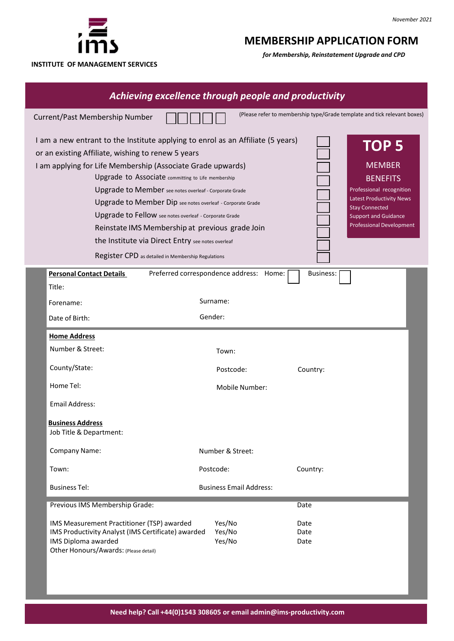

**INSTITUTE OF MANAGEMENT SERVICES**

# **MEMBERSHIP APPLICATION FORM**

*for Membership, Reinstatement Upgrade and CPD*

| Achieving excellence through people and productivity |                                                                                                                                                                                                                                                                                                                                                                                                                                                                                                                                                                                                            |                                         |                                                                                                                                                                                                                |  |  |  |  |
|------------------------------------------------------|------------------------------------------------------------------------------------------------------------------------------------------------------------------------------------------------------------------------------------------------------------------------------------------------------------------------------------------------------------------------------------------------------------------------------------------------------------------------------------------------------------------------------------------------------------------------------------------------------------|-----------------------------------------|----------------------------------------------------------------------------------------------------------------------------------------------------------------------------------------------------------------|--|--|--|--|
|                                                      | Current/Past Membership Number                                                                                                                                                                                                                                                                                                                                                                                                                                                                                                                                                                             |                                         | (Please refer to membership type/Grade template and tick relevant boxes)                                                                                                                                       |  |  |  |  |
|                                                      | I am a new entrant to the Institute applying to enrol as an Affiliate (5 years)<br>or an existing Affiliate, wishing to renew 5 years<br>I am applying for Life Membership (Associate Grade upwards)<br>Upgrade to Associate committing to Life membership<br>Upgrade to Member see notes overleaf - Corporate Grade<br>Upgrade to Member Dip see notes overleaf - Corporate Grade<br>Upgrade to Fellow see notes overleaf - Corporate Grade<br>Reinstate IMS Membership at previous grade Join<br>the Institute via Direct Entry see notes overleaf<br>Register CPD as detailed in Membership Regulations |                                         | TOP <sub>5</sub><br><b>MEMBER</b><br><b>BENEFITS</b><br>Professional recognition<br><b>Latest Productivity News</b><br><b>Stay Connected</b><br><b>Support and Guidance</b><br><b>Professional Development</b> |  |  |  |  |
|                                                      | <b>Personal Contact Details</b>                                                                                                                                                                                                                                                                                                                                                                                                                                                                                                                                                                            | Preferred correspondence address: Home: | <b>Business:</b>                                                                                                                                                                                               |  |  |  |  |
|                                                      | Title:<br>Forename:                                                                                                                                                                                                                                                                                                                                                                                                                                                                                                                                                                                        | Surname:                                |                                                                                                                                                                                                                |  |  |  |  |
|                                                      | Date of Birth:                                                                                                                                                                                                                                                                                                                                                                                                                                                                                                                                                                                             | Gender:                                 |                                                                                                                                                                                                                |  |  |  |  |
|                                                      | <b>Home Address</b>                                                                                                                                                                                                                                                                                                                                                                                                                                                                                                                                                                                        |                                         |                                                                                                                                                                                                                |  |  |  |  |
|                                                      | Number & Street:                                                                                                                                                                                                                                                                                                                                                                                                                                                                                                                                                                                           | Town:                                   |                                                                                                                                                                                                                |  |  |  |  |
|                                                      | County/State:                                                                                                                                                                                                                                                                                                                                                                                                                                                                                                                                                                                              | Postcode:                               | Country:                                                                                                                                                                                                       |  |  |  |  |
|                                                      | Home Tel:                                                                                                                                                                                                                                                                                                                                                                                                                                                                                                                                                                                                  | Mobile Number:                          |                                                                                                                                                                                                                |  |  |  |  |
|                                                      | Email Address:                                                                                                                                                                                                                                                                                                                                                                                                                                                                                                                                                                                             |                                         |                                                                                                                                                                                                                |  |  |  |  |
|                                                      | <b>Business Address</b><br>Job Title & Department:                                                                                                                                                                                                                                                                                                                                                                                                                                                                                                                                                         |                                         |                                                                                                                                                                                                                |  |  |  |  |
|                                                      | Company Name:                                                                                                                                                                                                                                                                                                                                                                                                                                                                                                                                                                                              | Number & Street:                        |                                                                                                                                                                                                                |  |  |  |  |
|                                                      | Town:                                                                                                                                                                                                                                                                                                                                                                                                                                                                                                                                                                                                      | Postcode:                               | Country:                                                                                                                                                                                                       |  |  |  |  |
|                                                      | <b>Business Tel:</b>                                                                                                                                                                                                                                                                                                                                                                                                                                                                                                                                                                                       | <b>Business Email Address:</b>          |                                                                                                                                                                                                                |  |  |  |  |
|                                                      | Previous IMS Membership Grade:                                                                                                                                                                                                                                                                                                                                                                                                                                                                                                                                                                             |                                         | Date                                                                                                                                                                                                           |  |  |  |  |
|                                                      | IMS Measurement Practitioner (TSP) awarded<br>IMS Productivity Analyst (IMS Certificate) awarded<br>IMS Diploma awarded<br>Other Honours/Awards: (Please detail)                                                                                                                                                                                                                                                                                                                                                                                                                                           | Yes/No<br>Yes/No<br>Yes/No              | Date<br>Date<br>Date                                                                                                                                                                                           |  |  |  |  |